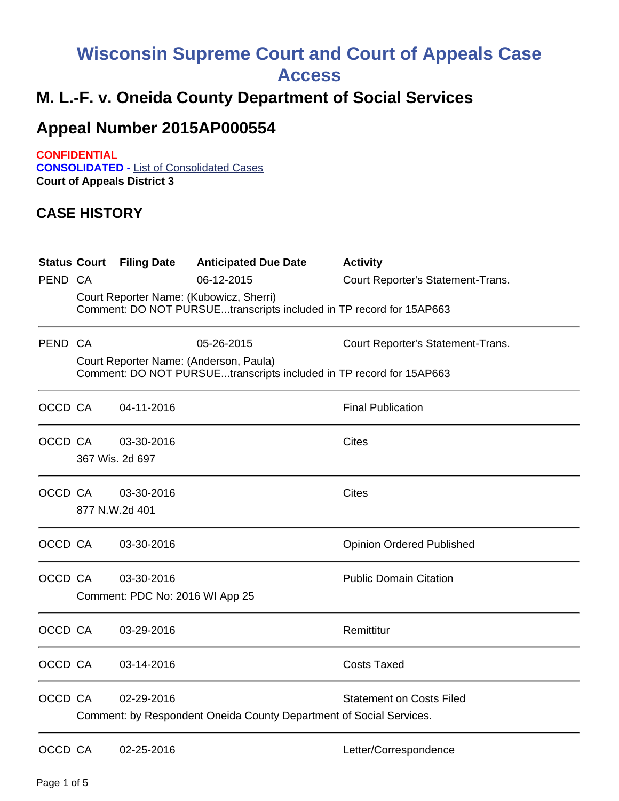## **Wisconsin Supreme Court and Court of Appeals Case Access**

## **M. L.-F. v. Oneida County Department of Social Services**

## **Appeal Number 2015AP000554**

**CONFIDENTIAL CONSOLIDATED -** List of Consolidated Cases **Court of Appeals District 3**

## **CASE HISTORY**

| PEND CA | <b>Status Court Filing Date</b>               | <b>Anticipated Due Date</b><br>06-12-2015<br>Court Reporter Name: (Kubowicz, Sherri)<br>Comment: DO NOT PURSUEtranscripts included in TP record for 15AP663 | <b>Activity</b><br>Court Reporter's Statement-Trans. |
|---------|-----------------------------------------------|-------------------------------------------------------------------------------------------------------------------------------------------------------------|------------------------------------------------------|
| PEND CA |                                               | 05-26-2015<br>Court Reporter Name: (Anderson, Paula)<br>Comment: DO NOT PURSUEtranscripts included in TP record for 15AP663                                 | Court Reporter's Statement-Trans.                    |
| OCCD CA | 04-11-2016                                    |                                                                                                                                                             | <b>Final Publication</b>                             |
| OCCD CA | 03-30-2016<br>367 Wis. 2d 697                 |                                                                                                                                                             | <b>Cites</b>                                         |
| OCCD CA | 03-30-2016<br>877 N.W.2d 401                  |                                                                                                                                                             | <b>Cites</b>                                         |
| OCCD CA | 03-30-2016                                    |                                                                                                                                                             | <b>Opinion Ordered Published</b>                     |
| OCCD CA | 03-30-2016<br>Comment: PDC No: 2016 WI App 25 |                                                                                                                                                             | <b>Public Domain Citation</b>                        |
| OCCD CA | 03-29-2016                                    |                                                                                                                                                             | Remittitur                                           |
| OCCD CA | 03-14-2016                                    |                                                                                                                                                             | <b>Costs Taxed</b>                                   |
| OCCD CA | 02-29-2016                                    | Comment: by Respondent Oneida County Department of Social Services.                                                                                         | <b>Statement on Costs Filed</b>                      |
| OCCD CA | 02-25-2016                                    |                                                                                                                                                             | Letter/Correspondence                                |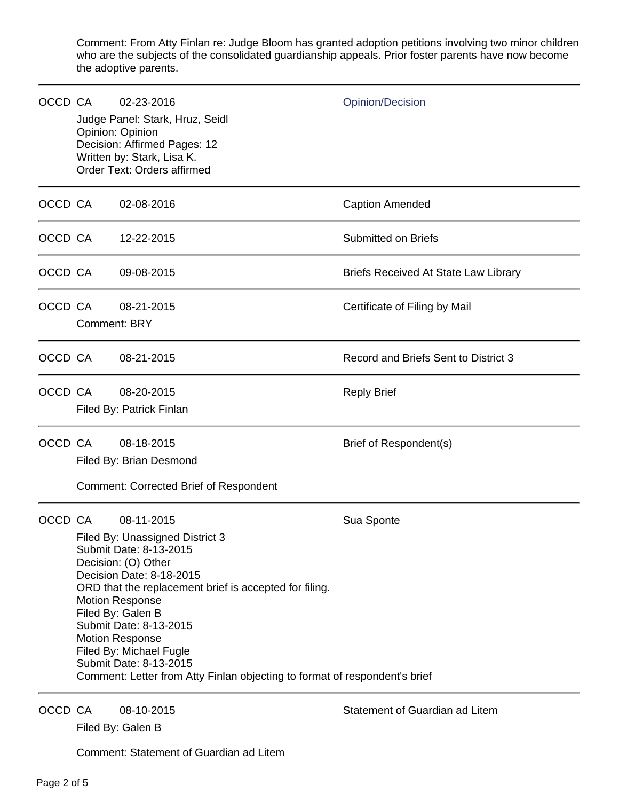Comment: From Atty Finlan re: Judge Bloom has granted adoption petitions involving two minor children who are the subjects of the consolidated guardianship appeals. Prior foster parents have now become the adoptive parents.

| OCCD CA |                                                                                                                                                                                                                                                                                                                                                                                                                            | 02-23-2016<br>Judge Panel: Stark, Hruz, Seidl<br>Opinion: Opinion<br>Decision: Affirmed Pages: 12<br>Written by: Stark, Lisa K.<br>Order Text: Orders affirmed | <b>Opinion/Decision</b>                     |
|---------|----------------------------------------------------------------------------------------------------------------------------------------------------------------------------------------------------------------------------------------------------------------------------------------------------------------------------------------------------------------------------------------------------------------------------|----------------------------------------------------------------------------------------------------------------------------------------------------------------|---------------------------------------------|
| OCCD CA |                                                                                                                                                                                                                                                                                                                                                                                                                            | 02-08-2016                                                                                                                                                     | <b>Caption Amended</b>                      |
|         | OCCD CA                                                                                                                                                                                                                                                                                                                                                                                                                    | 12-22-2015                                                                                                                                                     | Submitted on Briefs                         |
| OCCD CA |                                                                                                                                                                                                                                                                                                                                                                                                                            | 09-08-2015                                                                                                                                                     | <b>Briefs Received At State Law Library</b> |
| OCCD CA |                                                                                                                                                                                                                                                                                                                                                                                                                            | 08-21-2015<br><b>Comment: BRY</b>                                                                                                                              | Certificate of Filing by Mail               |
| OCCD CA |                                                                                                                                                                                                                                                                                                                                                                                                                            | 08-21-2015                                                                                                                                                     | Record and Briefs Sent to District 3        |
| OCCD CA |                                                                                                                                                                                                                                                                                                                                                                                                                            | 08-20-2015<br>Filed By: Patrick Finlan                                                                                                                         | <b>Reply Brief</b>                          |
| OCCD CA |                                                                                                                                                                                                                                                                                                                                                                                                                            | 08-18-2015<br>Filed By: Brian Desmond<br><b>Comment: Corrected Brief of Respondent</b>                                                                         | Brief of Respondent(s)                      |
| OCCD CA | 08-11-2015<br>Filed By: Unassigned District 3<br>Submit Date: 8-13-2015<br>Decision: (O) Other<br>Decision Date: 8-18-2015<br>ORD that the replacement brief is accepted for filing.<br><b>Motion Response</b><br>Filed By: Galen B<br>Submit Date: 8-13-2015<br><b>Motion Response</b><br>Filed By: Michael Fugle<br>Submit Date: 8-13-2015<br>Comment: Letter from Atty Finlan objecting to format of respondent's brief |                                                                                                                                                                | Sua Sponte                                  |
| OCCD CA |                                                                                                                                                                                                                                                                                                                                                                                                                            | 08-10-2015                                                                                                                                                     | Statement of Guardian ad Litem              |

Filed By: Galen B

Comment: Statement of Guardian ad Litem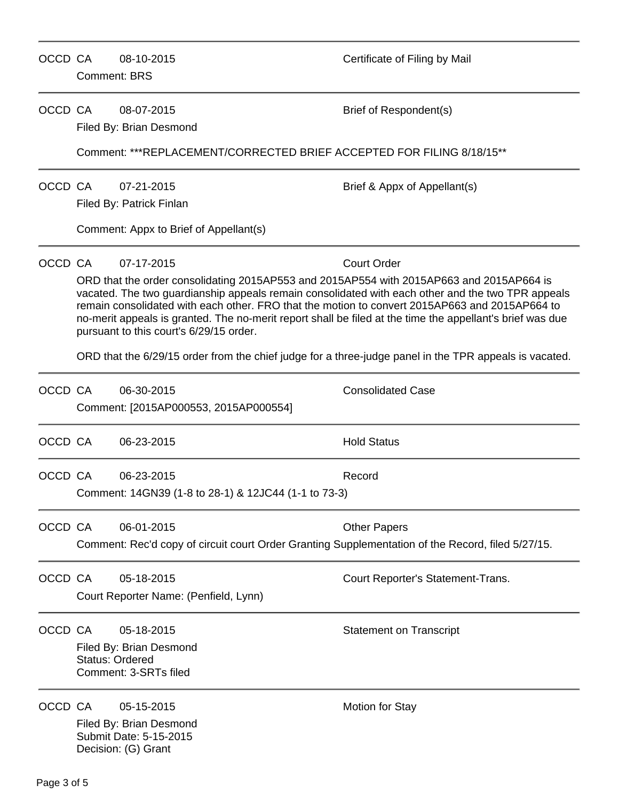| OCCD CA     |                                                                                                                                                                                                                                                                | 08-10-2015<br><b>Comment: BRS</b>                                                                               | Certificate of Filing by Mail                                                                                                                                                                                             |  |  |  |
|-------------|----------------------------------------------------------------------------------------------------------------------------------------------------------------------------------------------------------------------------------------------------------------|-----------------------------------------------------------------------------------------------------------------|---------------------------------------------------------------------------------------------------------------------------------------------------------------------------------------------------------------------------|--|--|--|
| OCCD CA     |                                                                                                                                                                                                                                                                | 08-07-2015<br>Filed By: Brian Desmond                                                                           | Brief of Respondent(s)                                                                                                                                                                                                    |  |  |  |
|             |                                                                                                                                                                                                                                                                | Comment: ***REPLACEMENT/CORRECTED BRIEF ACCEPTED FOR FILING 8/18/15 **                                          |                                                                                                                                                                                                                           |  |  |  |
| OCCD CA     |                                                                                                                                                                                                                                                                | 07-21-2015<br>Filed By: Patrick Finlan                                                                          | Brief & Appx of Appellant(s)                                                                                                                                                                                              |  |  |  |
|             |                                                                                                                                                                                                                                                                | Comment: Appx to Brief of Appellant(s)                                                                          |                                                                                                                                                                                                                           |  |  |  |
| OCCD CA     |                                                                                                                                                                                                                                                                | 07-17-2015<br>ORD that the order consolidating 2015AP553 and 2015AP554 with 2015AP663 and 2015AP664 is          | <b>Court Order</b><br>vacated. The two guardianship appeals remain consolidated with each other and the two TPR appeals<br>remain consolidated with each other. FRO that the motion to convert 2015AP663 and 2015AP664 to |  |  |  |
|             | no-merit appeals is granted. The no-merit report shall be filed at the time the appellant's brief was due<br>pursuant to this court's 6/29/15 order.<br>ORD that the 6/29/15 order from the chief judge for a three-judge panel in the TPR appeals is vacated. |                                                                                                                 |                                                                                                                                                                                                                           |  |  |  |
| OCCD CA     |                                                                                                                                                                                                                                                                | 06-30-2015<br>Comment: [2015AP000553, 2015AP000554]                                                             | <b>Consolidated Case</b>                                                                                                                                                                                                  |  |  |  |
| OCCD CA     |                                                                                                                                                                                                                                                                | 06-23-2015                                                                                                      | <b>Hold Status</b>                                                                                                                                                                                                        |  |  |  |
| OCCD CA     |                                                                                                                                                                                                                                                                | 06-23-2015<br>Comment: 14GN39 (1-8 to 28-1) & 12JC44 (1-1 to 73-3)                                              | Record                                                                                                                                                                                                                    |  |  |  |
| OCCD CA     |                                                                                                                                                                                                                                                                | 06-01-2015<br>Comment: Rec'd copy of circuit court Order Granting Supplementation of the Record, filed 5/27/15. | <b>Other Papers</b>                                                                                                                                                                                                       |  |  |  |
| OCCD CA     |                                                                                                                                                                                                                                                                | 05-18-2015<br>Court Reporter Name: (Penfield, Lynn)                                                             | Court Reporter's Statement-Trans.                                                                                                                                                                                         |  |  |  |
| OCCD CA     |                                                                                                                                                                                                                                                                | 05-18-2015<br>Filed By: Brian Desmond<br><b>Status: Ordered</b><br>Comment: 3-SRTs filed                        | <b>Statement on Transcript</b>                                                                                                                                                                                            |  |  |  |
| OCCD CA     |                                                                                                                                                                                                                                                                | 05-15-2015<br>Filed By: Brian Desmond<br>Submit Date: 5-15-2015<br>Decision: (G) Grant                          | <b>Motion for Stay</b>                                                                                                                                                                                                    |  |  |  |
| Page 3 of 5 |                                                                                                                                                                                                                                                                |                                                                                                                 |                                                                                                                                                                                                                           |  |  |  |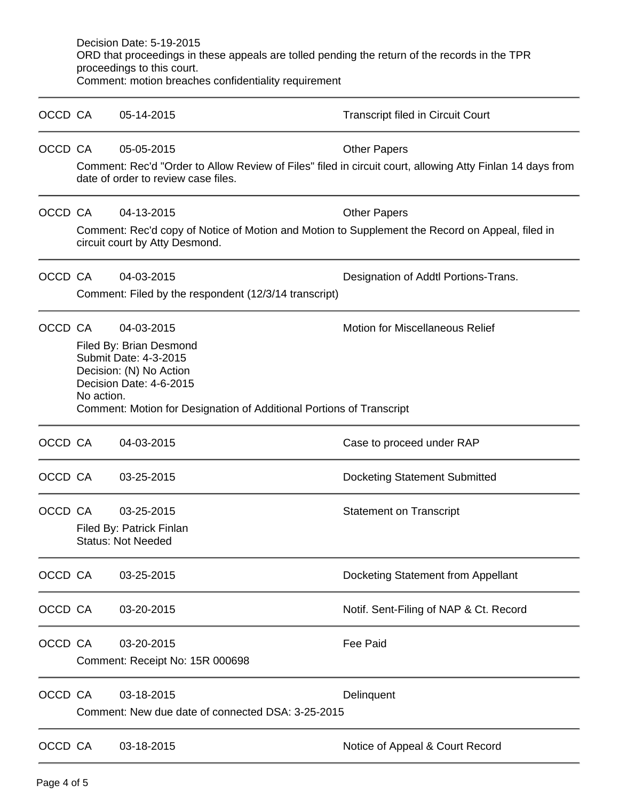|         | Decision Date: 5-19-2015<br>ORD that proceedings in these appeals are tolled pending the return of the records in the TPR<br>proceedings to this court. |                                                                                                                                   |                                                                                                           |  |  |  |
|---------|---------------------------------------------------------------------------------------------------------------------------------------------------------|-----------------------------------------------------------------------------------------------------------------------------------|-----------------------------------------------------------------------------------------------------------|--|--|--|
|         |                                                                                                                                                         | Comment: motion breaches confidentiality requirement                                                                              |                                                                                                           |  |  |  |
| OCCD CA |                                                                                                                                                         | 05-14-2015                                                                                                                        | <b>Transcript filed in Circuit Court</b>                                                                  |  |  |  |
| OCCD CA |                                                                                                                                                         | 05-05-2015                                                                                                                        | <b>Other Papers</b>                                                                                       |  |  |  |
|         |                                                                                                                                                         | date of order to review case files.                                                                                               | Comment: Rec'd "Order to Allow Review of Files" filed in circuit court, allowing Atty Finlan 14 days from |  |  |  |
| OCCD CA |                                                                                                                                                         | 04-13-2015                                                                                                                        | <b>Other Papers</b>                                                                                       |  |  |  |
|         |                                                                                                                                                         | Comment: Rec'd copy of Notice of Motion and Motion to Supplement the Record on Appeal, filed in<br>circuit court by Atty Desmond. |                                                                                                           |  |  |  |
| OCCD CA |                                                                                                                                                         | 04-03-2015                                                                                                                        | Designation of Addtl Portions-Trans.                                                                      |  |  |  |
|         |                                                                                                                                                         | Comment: Filed by the respondent (12/3/14 transcript)                                                                             |                                                                                                           |  |  |  |
| OCCD CA |                                                                                                                                                         | 04-03-2015                                                                                                                        | <b>Motion for Miscellaneous Relief</b>                                                                    |  |  |  |
|         |                                                                                                                                                         | Filed By: Brian Desmond<br>Submit Date: 4-3-2015<br>Decision: (N) No Action<br>Decision Date: 4-6-2015                            |                                                                                                           |  |  |  |
|         |                                                                                                                                                         | No action.<br>Comment: Motion for Designation of Additional Portions of Transcript                                                |                                                                                                           |  |  |  |
| OCCD CA |                                                                                                                                                         | 04-03-2015                                                                                                                        | Case to proceed under RAP                                                                                 |  |  |  |
| OCCD CA |                                                                                                                                                         | 03-25-2015                                                                                                                        | <b>Docketing Statement Submitted</b>                                                                      |  |  |  |
| OCCD CA |                                                                                                                                                         | 03-25-2015                                                                                                                        | <b>Statement on Transcript</b>                                                                            |  |  |  |
|         | Filed By: Patrick Finlan<br><b>Status: Not Needed</b>                                                                                                   |                                                                                                                                   |                                                                                                           |  |  |  |
| OCCD CA |                                                                                                                                                         | 03-25-2015                                                                                                                        | Docketing Statement from Appellant                                                                        |  |  |  |
| OCCD CA |                                                                                                                                                         | 03-20-2015                                                                                                                        | Notif. Sent-Filing of NAP & Ct. Record                                                                    |  |  |  |
| OCCD CA |                                                                                                                                                         | 03-20-2015                                                                                                                        | <b>Fee Paid</b>                                                                                           |  |  |  |
|         | Comment: Receipt No: 15R 000698                                                                                                                         |                                                                                                                                   |                                                                                                           |  |  |  |
| OCCD CA |                                                                                                                                                         | 03-18-2015                                                                                                                        | Delinquent                                                                                                |  |  |  |
|         |                                                                                                                                                         | Comment: New due date of connected DSA: 3-25-2015                                                                                 |                                                                                                           |  |  |  |
| OCCD CA |                                                                                                                                                         | 03-18-2015                                                                                                                        | Notice of Appeal & Court Record                                                                           |  |  |  |